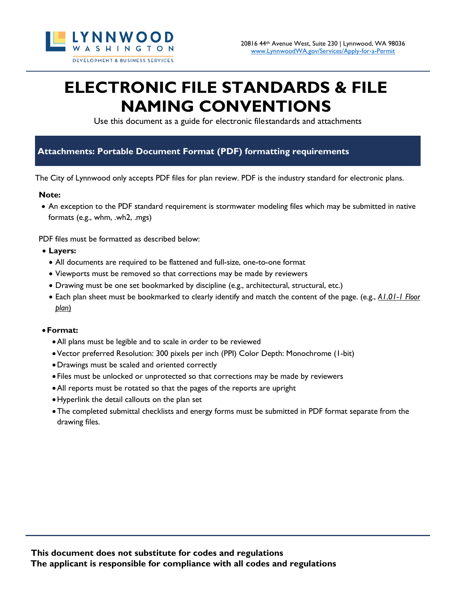

# **ELECTRONIC FILE STANDARDS & FILE NAMING CONVENTIONS**

Use this document as a guide for electronic filestandards and attachments

## **Attachments: Portable Document Format (PDF) formatting requirements**

The City of Lynnwood only accepts PDF files for plan review. PDF is the industry standard for electronic plans.

#### **Note:**

• An exception to the PDF standard requirement is stormwater modeling files which may be submitted in native formats (e.g., whm, .wh2, .mgs)

PDF files must be formatted as described below:

- **Layers:**
	- All documents are required to be flattened and full-size, one-to-one format
	- Viewports must be removed so that corrections may be made by reviewers
	- Drawing must be one set bookmarked by discipline (e.g., architectural, structural, etc.)
	- Each plan sheet must be bookmarked to clearly identify and match the content of the page. (e.g., *A1.01-1 Floor plan*)

#### •**Format:**

- •All plans must be legible and to scale in order to be reviewed
- •Vector preferred Resolution: 300 pixels per inch (PPI) Color Depth: Monochrome (1-bit)
- •Drawings must be scaled and oriented correctly
- Files must be unlocked or unprotected so that corrections may be made by reviewers
- •All reports must be rotated so that the pages of the reports are upright
- •Hyperlink the detail callouts on the plan set
- •The completed submittal checklists and energy forms must be submitted in PDF format separate from the drawing files.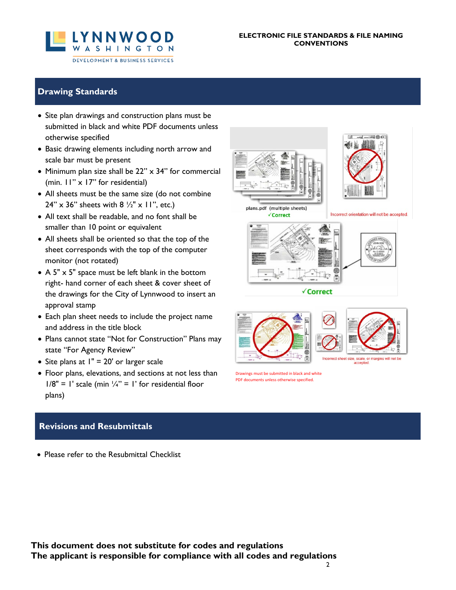

#### **ELECTRONIC FILE STANDARDS & FILE NAMING CONVENTIONS**

## **Drawing Standards**

- Site plan drawings and construction plans must be submitted in black and white PDF documents unless otherwise specified
- Basic drawing elements including north arrow and scale bar must be present
- Minimum plan size shall be  $22" \times 34"$  for commercial (min. 11" x 17" for residential)
- All sheets must be the same size (do not combine  $24'' \times 36''$  sheets with  $8 \frac{1}{2} \times 11''$ , etc.)
- All text shall be readable, and no font shall be smaller than 10 point or equivalent
- All sheets shall be oriented so that the top of the sheet corresponds with the top of the computer monitor (not rotated)
- A 5" x 5" space must be left blank in the bottom right- hand corner of each sheet & cover sheet of the drawings for the City of Lynnwood to insert an approval stamp
- Each plan sheet needs to include the project name and address in the title block
- Plans cannot state "Not for Construction" Plans may state "For Agency Review"
- Site plans at 1" = 20' or larger scale
- Floor plans, elevations, and sections at not less than  $1/8" = 1'$  scale (min  $\frac{1}{4}$ " = 1' for residential floor plans)

## **Revisions and Resubmittals**

• Please refer to the Resubmittal Checklist



**The applicant is responsible for compliance with all codes and regulations**





plans.pdf (multiple sheets) √Correct



√Correct





Drawings must be submitted in black and white PDF documents unless otherwise specified.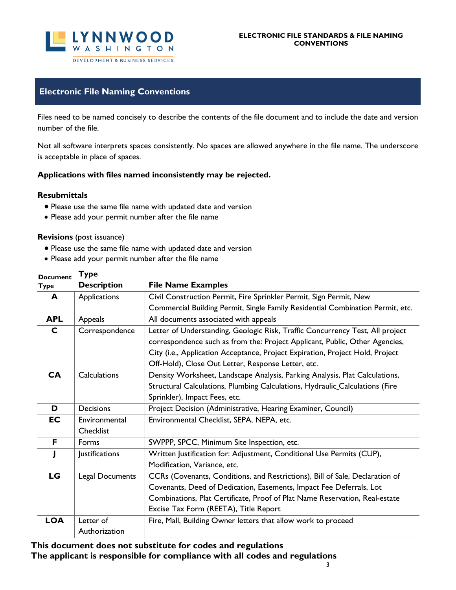

## **Electronic File Naming Conventions**

Files need to be named concisely to describe the contents of the file document and to include the date and version number of the file.

Not all software interprets spaces consistently. No spaces are allowed anywhere in the file name. The underscore is acceptable in place of spaces.

#### **Applications with files named inconsistently may be rejected.**

#### **Resubmittals**

- Please use the same file name with updated date and version
- Please add your permit number after the file name

#### **Revisions** (post issuance)

**Type** 

- Please use the same file name with updated date and version
- Please add your permit number after the file name

| <b>Document</b><br><b>Type</b> | і урс<br><b>Description</b> | <b>File Name Examples</b>                                                      |  |
|--------------------------------|-----------------------------|--------------------------------------------------------------------------------|--|
| A                              | Applications                | Civil Construction Permit, Fire Sprinkler Permit, Sign Permit, New             |  |
|                                |                             | Commercial Building Permit, Single Family Residential Combination Permit, etc. |  |
| <b>APL</b>                     | Appeals                     | All documents associated with appeals                                          |  |
| C                              | Correspondence              | Letter of Understanding, Geologic Risk, Traffic Concurrency Test, All project  |  |
|                                |                             | correspondence such as from the: Project Applicant, Public, Other Agencies,    |  |
|                                |                             | City (i.e., Application Acceptance, Project Expiration, Project Hold, Project  |  |
|                                |                             | Off-Hold), Close Out Letter, Response Letter, etc.                             |  |
| <b>CA</b>                      | Calculations                | Density Worksheet, Landscape Analysis, Parking Analysis, Plat Calculations,    |  |
|                                |                             | Structural Calculations, Plumbing Calculations, Hydraulic Calculations (Fire   |  |
|                                |                             | Sprinkler), Impact Fees, etc.                                                  |  |
| D                              | <b>Decisions</b>            | Project Decision (Administrative, Hearing Examiner, Council)                   |  |
| EC                             | Environmental               | Environmental Checklist, SEPA, NEPA, etc.                                      |  |
|                                | Checklist                   |                                                                                |  |
| F                              | Forms                       | SWPPP, SPCC, Minimum Site Inspection, etc.                                     |  |
|                                | Justifications              | Written Justification for: Adjustment, Conditional Use Permits (CUP),          |  |
|                                |                             | Modification, Variance, etc.                                                   |  |
| LG                             | Legal Documents             | CCRs (Covenants, Conditions, and Restrictions), Bill of Sale, Declaration of   |  |
|                                |                             | Covenants, Deed of Dedication, Easements, Impact Fee Deferrals, Lot            |  |
|                                |                             | Combinations, Plat Certificate, Proof of Plat Name Reservation, Real-estate    |  |
|                                |                             | Excise Tax Form (REETA), Title Report                                          |  |
| <b>LOA</b>                     | Letter of                   | Fire, Mall, Building Owner letters that allow work to proceed                  |  |
|                                | Authorization               |                                                                                |  |

## **This document does not substitute for codes and regulations The applicant is responsible for compliance with all codes and regulations**